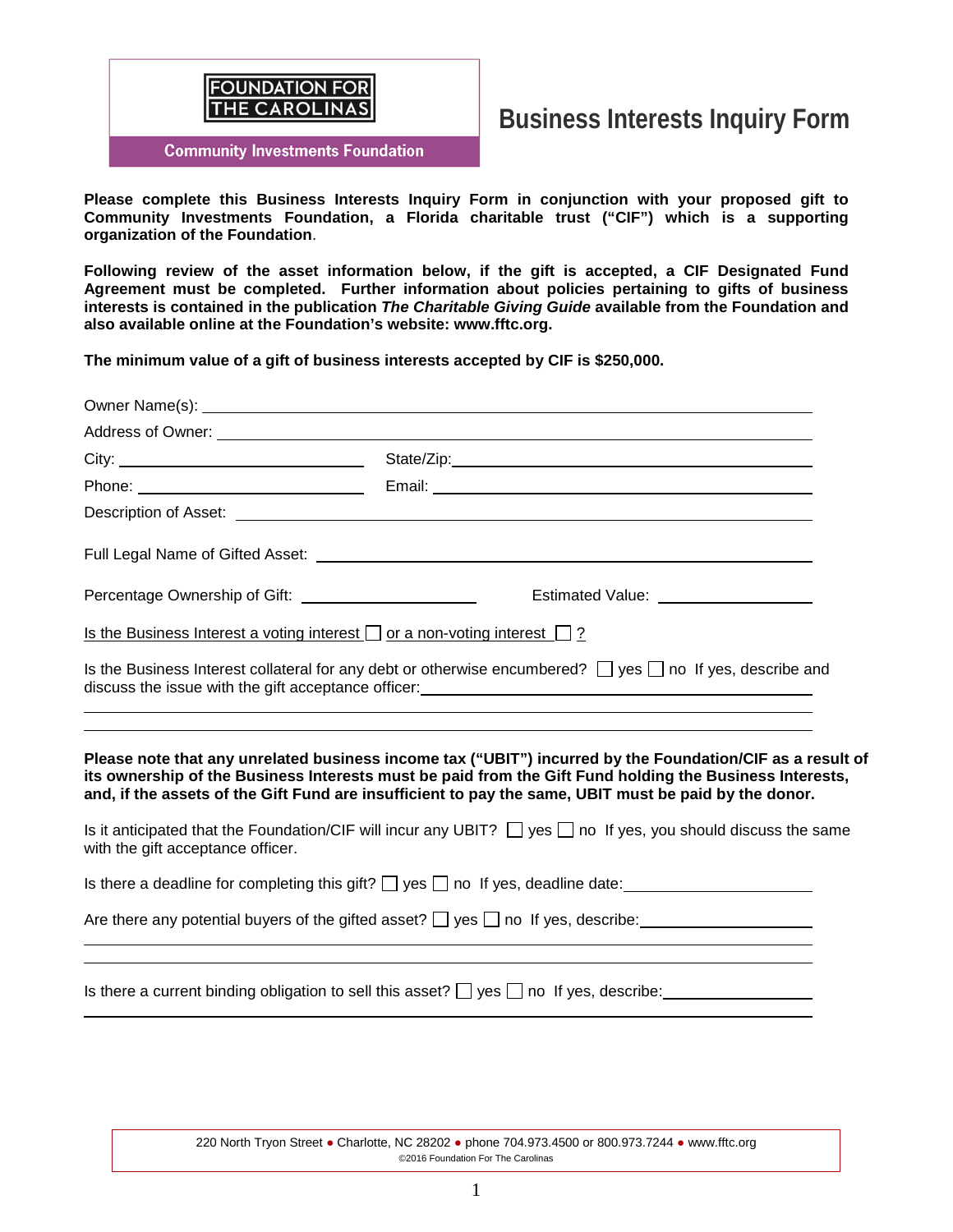

# **Business Interests Inquiry Form**

**Community Investments Foundation** 

**Please complete this Business Interests Inquiry Form in conjunction with your proposed gift to Community Investments Foundation, a Florida charitable trust ("CIF") which is a supporting organization of the Foundation**.

**Following review of the asset information below, if the gift is accepted, a CIF Designated Fund Agreement must be completed. Further information about policies pertaining to gifts of business interests is contained in the publication** *The Charitable Giving Guide* **available from the Foundation and also available online at the Foundation's website: www.fftc.org.** 

**The minimum value of a gift of business interests accepted by CIF is \$250,000.**

|                                                                                                                 | Address of Owner: <u>Communication</u> Control of Control Control of Control Control Control Control Control Control Control Control Control Control Control Control Control Control Control Control Control Control Control Contro                                                                                           |
|-----------------------------------------------------------------------------------------------------------------|-------------------------------------------------------------------------------------------------------------------------------------------------------------------------------------------------------------------------------------------------------------------------------------------------------------------------------|
|                                                                                                                 |                                                                                                                                                                                                                                                                                                                               |
|                                                                                                                 |                                                                                                                                                                                                                                                                                                                               |
|                                                                                                                 | Description of Asset: <u>with a set of the set of the set of the set of the set of the set of the set of the set of</u>                                                                                                                                                                                                       |
|                                                                                                                 |                                                                                                                                                                                                                                                                                                                               |
| Percentage Ownership of Gift: ________________________                                                          | Estimated Value: ___________________                                                                                                                                                                                                                                                                                          |
| <u>Is the Business Interest a voting interest <math>\Box</math> or a non-voting interest <math>\Box</math>?</u> |                                                                                                                                                                                                                                                                                                                               |
|                                                                                                                 | Is the Business Interest collateral for any debt or otherwise encumbered? $\Box$ yes $\Box$ no If yes, describe and                                                                                                                                                                                                           |
|                                                                                                                 | Please note that any unrelated business income tax ("UBIT") incurred by the Foundation/CIF as a result of<br>its ownership of the Business Interests must be paid from the Gift Fund holding the Business Interests,<br>and, if the assets of the Gift Fund are insufficient to pay the same, UBIT must be paid by the donor. |
| with the gift acceptance officer.                                                                               | Is it anticipated that the Foundation/CIF will incur any UBIT? $\Box$ yes $\Box$ no If yes, you should discuss the same                                                                                                                                                                                                       |
|                                                                                                                 | Is there a deadline for completing this gift? $\Box$ yes $\Box$ no If yes, deadline date:                                                                                                                                                                                                                                     |
|                                                                                                                 | Are there any potential buyers of the gifted asset? $\Box$ yes $\Box$ no If yes, describe:                                                                                                                                                                                                                                    |
|                                                                                                                 | Is there a current binding obligation to sell this asset? $\Box$ yes $\Box$ no If yes, describe:                                                                                                                                                                                                                              |

220 North Tryon Street ● Charlotte, NC 28202 ● phone 704.973.4500 or 800.973.7244 ● www.fftc.org ©2016 Foundation For The Carolinas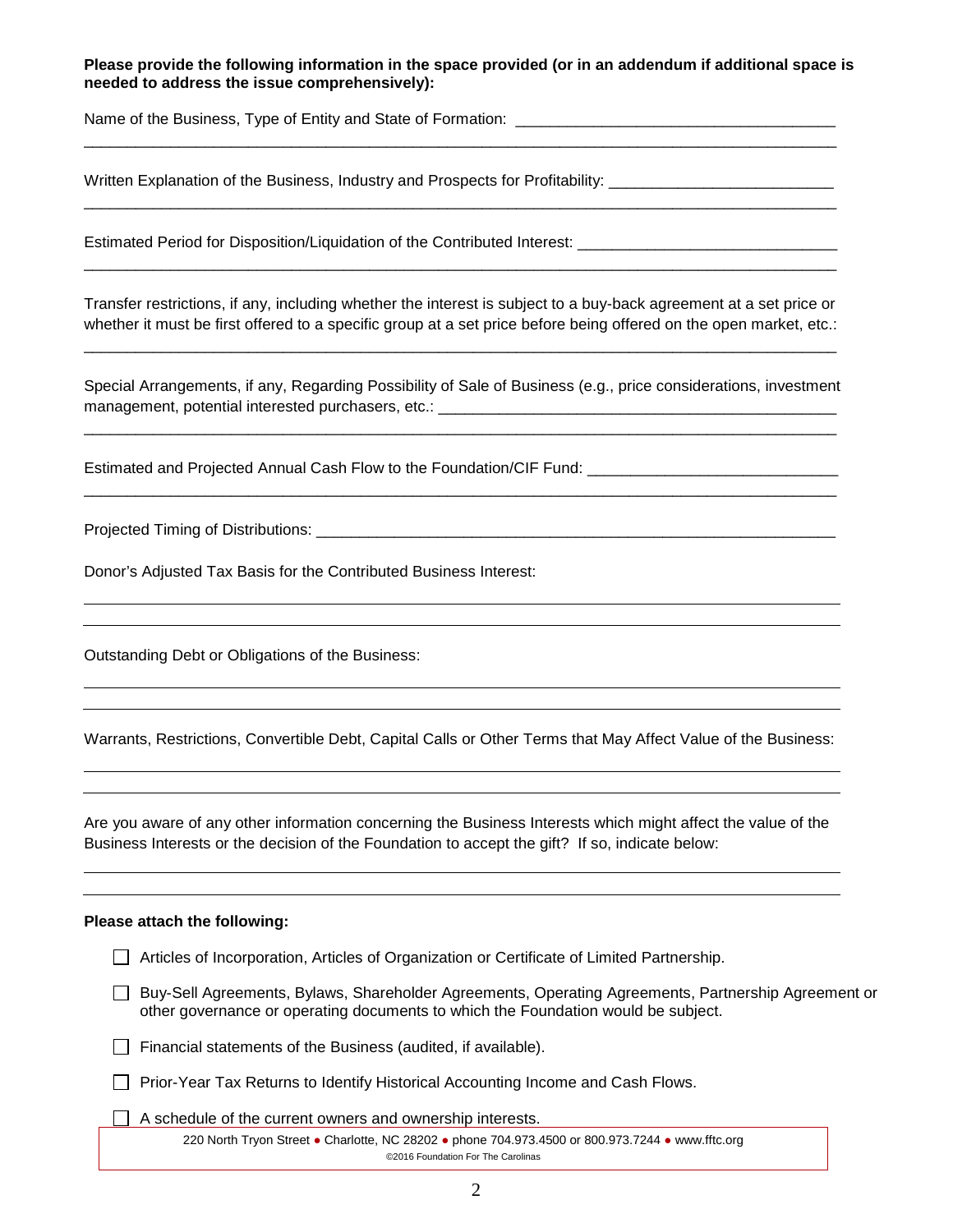## **Please provide the following information in the space provided (or in an addendum if additional space is needed to address the issue comprehensively):**

\_\_\_\_\_\_\_\_\_\_\_\_\_\_\_\_\_\_\_\_\_\_\_\_\_\_\_\_\_\_\_\_\_\_\_\_\_\_\_\_\_\_\_\_\_\_\_\_\_\_\_\_\_\_\_\_\_\_\_\_\_\_\_\_\_\_\_\_\_\_\_\_\_\_\_\_\_\_\_\_\_\_\_\_\_\_\_

\_\_\_\_\_\_\_\_\_\_\_\_\_\_\_\_\_\_\_\_\_\_\_\_\_\_\_\_\_\_\_\_\_\_\_\_\_\_\_\_\_\_\_\_\_\_\_\_\_\_\_\_\_\_\_\_\_\_\_\_\_\_\_\_\_\_\_\_\_\_\_\_\_\_\_\_\_\_\_\_\_\_\_\_\_\_\_

\_\_\_\_\_\_\_\_\_\_\_\_\_\_\_\_\_\_\_\_\_\_\_\_\_\_\_\_\_\_\_\_\_\_\_\_\_\_\_\_\_\_\_\_\_\_\_\_\_\_\_\_\_\_\_\_\_\_\_\_\_\_\_\_\_\_\_\_\_\_\_\_\_\_\_\_\_\_\_\_\_\_\_\_\_\_\_

Name of the Business, Type of Entity and State of Formation: \_\_\_\_\_\_\_\_\_\_\_\_\_\_\_\_\_\_\_\_

Written Explanation of the Business, Industry and Prospects for Profitability: \_\_\_\_\_\_\_\_\_\_\_\_\_\_\_\_\_\_\_\_\_\_\_\_\_\_\_\_\_\_\_

Estimated Period for Disposition/Liquidation of the Contributed Interest:

Transfer restrictions, if any, including whether the interest is subject to a buy-back agreement at a set price or whether it must be first offered to a specific group at a set price before being offered on the open market, etc.:

\_\_\_\_\_\_\_\_\_\_\_\_\_\_\_\_\_\_\_\_\_\_\_\_\_\_\_\_\_\_\_\_\_\_\_\_\_\_\_\_\_\_\_\_\_\_\_\_\_\_\_\_\_\_\_\_\_\_\_\_\_\_\_\_\_\_\_\_\_\_\_\_\_\_\_\_\_\_\_\_\_\_\_\_\_\_\_

Special Arrangements, if any, Regarding Possibility of Sale of Business (e.g., price considerations, investment management, potential interested purchasers, etc.: \_\_\_\_\_\_\_\_\_\_\_\_\_\_\_\_\_\_\_\_\_\_\_\_\_\_\_\_\_\_\_\_\_\_\_\_\_\_\_\_\_\_\_\_\_\_

\_\_\_\_\_\_\_\_\_\_\_\_\_\_\_\_\_\_\_\_\_\_\_\_\_\_\_\_\_\_\_\_\_\_\_\_\_\_\_\_\_\_\_\_\_\_\_\_\_\_\_\_\_\_\_\_\_\_\_\_\_\_\_\_\_\_\_\_\_\_\_\_\_\_\_\_\_\_\_\_\_\_\_\_\_\_\_

\_\_\_\_\_\_\_\_\_\_\_\_\_\_\_\_\_\_\_\_\_\_\_\_\_\_\_\_\_\_\_\_\_\_\_\_\_\_\_\_\_\_\_\_\_\_\_\_\_\_\_\_\_\_\_\_\_\_\_\_\_\_\_\_\_\_\_\_\_\_\_\_\_\_\_\_\_\_\_\_\_\_\_\_\_\_\_

Estimated and Projected Annual Cash Flow to the Foundation/CIF Fund: \_\_\_\_\_\_\_\_\_\_\_\_\_\_\_\_\_\_\_\_\_\_\_\_\_\_\_\_\_

Projected Timing of Distributions: \_\_\_\_\_\_\_\_\_\_\_\_\_\_\_\_\_\_\_\_\_\_\_\_\_\_\_\_\_\_\_\_\_\_\_\_\_\_\_\_\_\_\_\_\_\_\_\_\_\_\_\_\_\_\_\_\_\_\_\_

Donor's Adjusted Tax Basis for the Contributed Business Interest:

Outstanding Debt or Obligations of the Business:

Warrants, Restrictions, Convertible Debt, Capital Calls or Other Terms that May Affect Value of the Business:

Are you aware of any other information concerning the Business Interests which might affect the value of the Business Interests or the decision of the Foundation to accept the gift? If so, indicate below:

#### **Please attach the following:**

|  | Articles of Incorporation, Articles of Organization or Certificate of Limited Partnership. |  |
|--|--------------------------------------------------------------------------------------------|--|
|  |                                                                                            |  |

Buy-Sell Agreements, Bylaws, Shareholder Agreements, Operating Agreements, Partnership Agreement or other governance or operating documents to which the Foundation would be subject.

 $\Box$  Financial statements of the Business (audited, if available).

 $\Box$  Prior-Year Tax Returns to Identify Historical Accounting Income and Cash Flows.

 $\Box$  A schedule of the current owners and ownership interests.

220 North Tryon Street ● Charlotte, NC 28202 ● phone 704.973.4500 or 800.973.7244 ● www.fftc.org ©2016 Foundation For The Carolinas